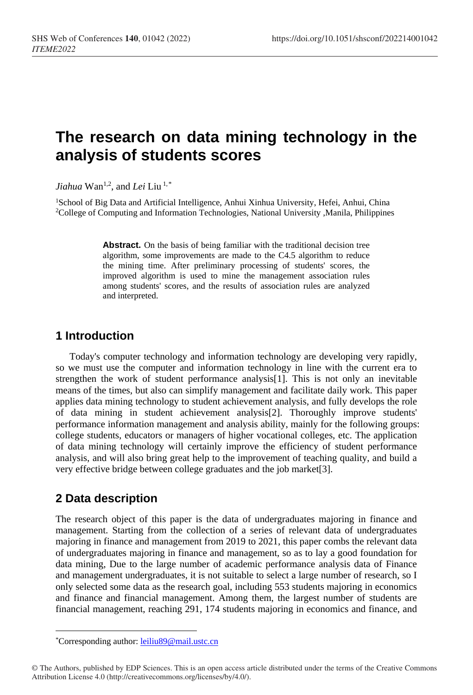# **The research on data mining technology in the analysis of students scores**

*Jiahua* Wan<sup>1,2</sup>, and *Lei* Liu<sup>1,[\\*](#page-0-0)</sup>

<sup>1</sup>School of Big Data and Artificial Intelligence, Anhui Xinhua University, Hefei, Anhui, China 2College of Computing and Information Technologies, National University ,Manila, Philippines

> **Abstract.** On the basis of being familiar with the traditional decision tree algorithm, some improvements are made to the C4.5 algorithm to reduce the mining time. After preliminary processing of students' scores, the improved algorithm is used to mine the management association rules among students' scores, and the results of association rules are analyzed and interpreted.

## **1 Introduction**

Today's computer technology and information technology are developing very rapidly, so we must use the computer and information technology in line with the current era to strengthen the work of student performance analysis[1]. This is not only an inevitable means of the times, but also can simplify management and facilitate daily work. This paper applies data mining technology to student achievement analysis, and fully develops the role of data mining in student achievement analysis[2]. Thoroughly improve students' performance information management and analysis ability, mainly for the following groups: college students, educators or managers of higher vocational colleges, etc. The application of data mining technology will certainly improve the efficiency of student performance analysis, and will also bring great help to the improvement of teaching quality, and build a very effective bridge between college graduates and the job market[3].

## **2 Data description**

The research object of this paper is the data of undergraduates majoring in finance and management. Starting from the collection of a series of relevant data of undergraduates majoring in finance and management from 2019 to 2021, this paper combs the relevant data of undergraduates majoring in finance and management, so as to lay a good foundation for data mining, Due to the large number of academic performance analysis data of Finance and management undergraduates, it is not suitable to select a large number of research, so I only selected some data as the research goal, including 553 students majoring in economics and finance and financial management. Among them, the largest number of students are financial management, reaching 291, 174 students majoring in economics and finance, and

 $\overline{a}$ \*Corresponding author: leiliu89@mail.ustc.cn

<span id="page-0-0"></span><sup>©</sup> The Authors, published by EDP Sciences. This is an open access article distributed under the terms of the Creative Commons Attribution License 4.0 (http://creativecommons.org/licenses/by/4.0/).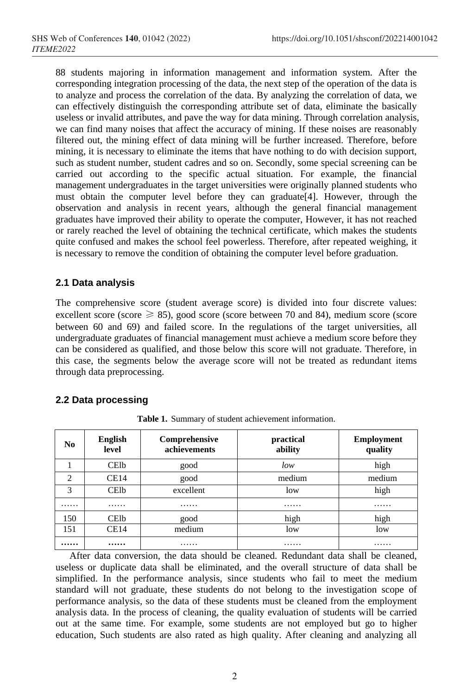88 students majoring in information management and information system. After the corresponding integration processing of the data, the next step of the operation of the data is to analyze and process the correlation of the data. By analyzing the correlation of data, we can effectively distinguish the corresponding attribute set of data, eliminate the basically useless or invalid attributes, and pave the way for data mining. Through correlation analysis, we can find many noises that affect the accuracy of mining. If these noises are reasonably filtered out, the mining effect of data mining will be further increased. Therefore, before mining, it is necessary to eliminate the items that have nothing to do with decision support, such as student number, student cadres and so on. Secondly, some special screening can be carried out according to the specific actual situation. For example, the financial management undergraduates in the target universities were originally planned students who must obtain the computer level before they can graduate[4]. However, through the observation and analysis in recent years, although the general financial management graduates have improved their ability to operate the computer, However, it has not reached or rarely reached the level of obtaining the technical certificate, which makes the students quite confused and makes the school feel powerless. Therefore, after repeated weighing, it is necessary to remove the condition of obtaining the computer level before graduation.

#### **2.1 Data analysis**

The comprehensive score (student average score) is divided into four discrete values: excellent score (score  $\geq$  85), good score (score between 70 and 84), medium score (score between 60 and 69) and failed score. In the regulations of the target universities, all undergraduate graduates of financial management must achieve a medium score before they can be considered as qualified, and those below this score will not graduate. Therefore, in this case, the segments below the average score will not be treated as redundant items through data preprocessing.

### **2.2 Data processing**

| N <sub>0</sub> | <b>English</b><br>level | Comprehensive<br>achievements | practical<br>ability | <b>Employment</b><br>quality |
|----------------|-------------------------|-------------------------------|----------------------|------------------------------|
|                | <b>CElb</b>             | good                          | low                  | high                         |
| 2              | CE14                    | good                          | medium               | medium                       |
| 3              | <b>CElb</b>             | excellent                     | low                  | high                         |
| .              | .                       | .                             | .                    | .                            |
| 150            | <b>CElb</b>             | good                          | high                 | high                         |
| 151            | CE14                    | medium                        | low                  | low                          |
|                |                         | .                             | .                    | .                            |

**Table 1.** Summary of student achievement information.

After data conversion, the data should be cleaned. Redundant data shall be cleaned, useless or duplicate data shall be eliminated, and the overall structure of data shall be simplified. In the performance analysis, since students who fail to meet the medium standard will not graduate, these students do not belong to the investigation scope of performance analysis, so the data of these students must be cleaned from the employment analysis data. In the process of cleaning, the quality evaluation of students will be carried out at the same time. For example, some students are not employed but go to higher education, Such students are also rated as high quality. After cleaning and analyzing all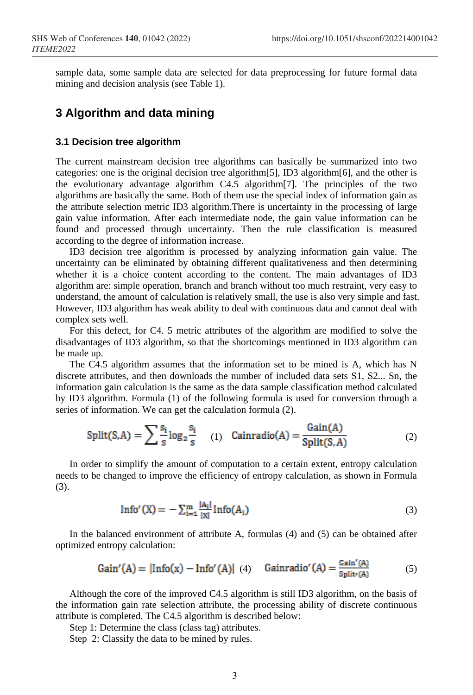sample data, some sample data are selected for data preprocessing for future formal data mining and decision analysis (see Table 1).

## **3 Algorithm and data mining**

#### **3.1 Decision tree algorithm**

The current mainstream decision tree algorithms can basically be summarized into two categories: one is the original decision tree algorithm[5], ID3 algorithm[6], and the other is the evolutionary advantage algorithm C4.5 algorithm[7]. The principles of the two algorithms are basically the same. Both of them use the special index of information gain as the attribute selection metric ID3 algorithm.There is uncertainty in the processing of large gain value information. After each intermediate node, the gain value information can be found and processed through uncertainty. Then the rule classification is measured according to the degree of information increase.

ID3 decision tree algorithm is processed by analyzing information gain value. The uncertainty can be eliminated by obtaining different qualitativeness and then determining whether it is a choice content according to the content. The main advantages of ID3 algorithm are: simple operation, branch and branch without too much restraint, very easy to understand, the amount of calculation is relatively small, the use is also very simple and fast. However, ID3 algorithm has weak ability to deal with continuous data and cannot deal with complex sets well.

For this defect, for C4. 5 metric attributes of the algorithm are modified to solve the disadvantages of ID3 algorithm, so that the shortcomings mentioned in ID3 algorithm can be made up.

The C4.5 algorithm assumes that the information set to be mined is A, which has N discrete attributes, and then downloads the number of included data sets S1, S2... Sn, the information gain calculation is the same as the data sample classification method calculated by ID3 algorithm. Formula (1) of the following formula is used for conversion through a series of information. We can get the calculation formula (2).

$$
\text{Split}(S, A) = \sum_{s} \frac{s_i}{s} \log_2 \frac{s_i}{s} \quad (1) \quad \text{Cainradio}(A) = \frac{\text{Gain}(A)}{\text{Split}(S, A)} \tag{2}
$$

In order to simplify the amount of computation to a certain extent, entropy calculation needs to be changed to improve the efficiency of entropy calculation, as shown in Formula (3).

$$
Info'(X) = -\sum_{i=1}^{m} \frac{|A_i|}{|X|} Info(A_i)
$$
\n(3)

In the balanced environment of attribute A, formulas (4) and (5) can be obtained after optimized entropy calculation:

Gain'(A) = 
$$
|\text{Info}(x) - \text{Info}'(A)|
$$
 (4)  $\text{Gainradio}'(A) = \frac{\text{Gain}'(A)}{\text{Split}(A)}$  (5)

Although the core of the improved C4.5 algorithm is still ID3 algorithm, on the basis of the information gain rate selection attribute, the processing ability of discrete continuous attribute is completed. The C4.5 algorithm is described below:

Step 1: Determine the class (class tag) attributes.

Step 2: Classify the data to be mined by rules.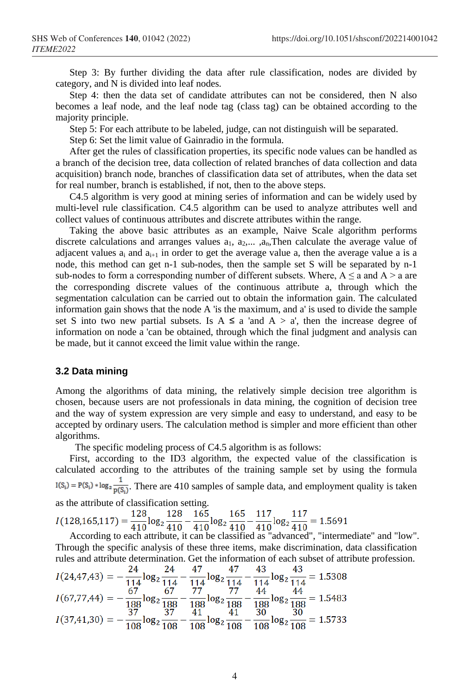Step 3: By further dividing the data after rule classification, nodes are divided by category, and N is divided into leaf nodes.

Step 4: then the data set of candidate attributes can not be considered, then N also becomes a leaf node, and the leaf node tag (class tag) can be obtained according to the majority principle.

Step 5: For each attribute to be labeled, judge, can not distinguish will be separated.

Step 6: Set the limit value of Gainradio in the formula.

After get the rules of classification properties, its specific node values can be handled as a branch of the decision tree, data collection of related branches of data collection and data acquisition) branch node, branches of classification data set of attributes, when the data set for real number, branch is established, if not, then to the above steps.

C4.5 algorithm is very good at mining series of information and can be widely used by multi-level rule classification. C4.5 algorithm can be used to analyze attributes well and collect values of continuous attributes and discrete attributes within the range.

Taking the above basic attributes as an example, Naive Scale algorithm performs discrete calculations and arranges values  $a_1$ ,  $a_2$ ,...,  $a_n$ , Then calculate the average value of adjacent values  $a_i$  and  $a_{i+1}$  in order to get the average value a, then the average value a is a node, this method can get n-1 sub-nodes, then the sample set S will be separated by n-1 sub-nodes to form a corresponding number of different subsets. Where,  $A \le a$  and  $A > a$  are the corresponding discrete values of the continuous attribute a, through which the segmentation calculation can be carried out to obtain the information gain. The calculated information gain shows that the node A 'is the maximum, and a' is used to divide the sample set S into two new partial subsets. Is  $A \le a$  'and  $A > a'$ , then the increase degree of information on node a 'can be obtained, through which the final judgment and analysis can be made, but it cannot exceed the limit value within the range.

#### **3.2 Data mining**

Among the algorithms of data mining, the relatively simple decision tree algorithm is chosen, because users are not professionals in data mining, the cognition of decision tree and the way of system expression are very simple and easy to understand, and easy to be accepted by ordinary users. The calculation method is simpler and more efficient than other algorithms.

The specific modeling process of C4.5 algorithm is as follows:

First, according to the ID3 algorithm, the expected value of the classification is calculated according to the attributes of the training sample set by using the formula  $I(S_i) = P(S_i) * log_2 \frac{1}{P(S_i)}$ . There are 410 samples of sample data, and employment quality is taken

as the attribute of classification setting.<br>  $I(128,165,117) = \frac{128}{410} \log_2 \frac{128}{410} - \frac{165}{410} \log_2 \frac{165}{410} - \frac{117}{410} \log_2 \frac{117}{410} = 1.5691$ 

According to each attribute, it can be classified as "advanced", "intermediate" and "low". Through the specific analysis of these three items, make discrimination, data classification rules and attribute determination. Get the information of each subset of attribute profession.

$$
I(24,47,43) = -\frac{24}{114} \log_2 \frac{24}{114} - \frac{47}{114} \log_2 \frac{47}{114} - \frac{43}{114} \log_2 \frac{43}{114} = 1.5308
$$
  

$$
I(67,77,44) = -\frac{67}{188} \log_2 \frac{67}{188} - \frac{77}{188} \log_2 \frac{77}{188} - \frac{44}{188} \log_2 \frac{44}{188} = 1.5483
$$
  

$$
I(37,41,30) = -\frac{37}{108} \log_2 \frac{37}{108} - \frac{41}{108} \log_2 \frac{41}{108} - \frac{30}{108} \log_2 \frac{30}{108} = 1.5733
$$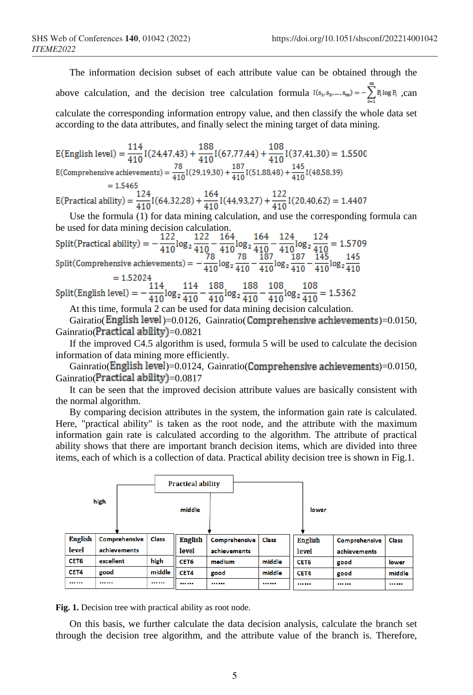The information decision subset of each attribute value can be obtained through the above calculation, and the decision tree calculation formula  $I(s_1, s_2, ..., s_m) = -\sum_{k=1}^{m} P_k log P_k$ , can calculate the corresponding information entropy value, and then classify the whole data set according to the data attributes, and finally select the mining target of data mining.

E(English level) =  $\frac{114}{410}$ I(24,47,43) +  $\frac{188}{410}$ I(67,77,44) +  $\frac{108}{410}$ I(37,41,30) = 1.5500 E(Comprehensive achievements) =  $\frac{78}{410}$ I(29,19,30) +  $\frac{187}{410}$ I(51,88,48) +  $\frac{145}{410}$ I(48,58,39)

= 1.5465<br>E(Practical ability) =  $\frac{124}{410}$ I(64,32,28) +  $\frac{164}{410}$ I(44,93,27) +  $\frac{122}{410}$ I(20,40,62) = 1.4407

Use the formula (1) for data mining calculation, and use the corresponding formula can

be used for data mining decision calculation.<br>
Split(Practical ability) =  $-\frac{122}{410}\log_2\frac{122}{410} - \frac{164}{410}\log_2\frac{164}{410} - \frac{124}{410}\log_2\frac{124}{410} = 1.5709$ <br>
Split(Comprehensive achievements) =  $-\frac{78}{410}\log_2\frac{78}{41$ 

=  $1.52024$ <br>Split(English level) =  $-\frac{114}{410}\log_2\frac{114}{410} - \frac{188}{410}\log_2\frac{188}{410} - \frac{108}{410}\log_2\frac{108}{410} = 1.5362$ <br>At this time, formula 2 can be used for data mining decision calculation.

Gairatio(English level)=0.0126, Gainratio( Comprehensive achievements)=0.0150, Gainratio( $\text{Practical ability}$ )=0.0821

If the improved C4.5 algorithm is used, formula 5 will be used to calculate the decision information of data mining more efficiently.

Gainratio(English level)=0.0124, Gainratio(Comprehensive achievements)=0.0150, Gainratio( $\text{Practical ability}$ )=0.0817

It can be seen that the improved decision attribute values are basically consistent with the normal algorithm.

By comparing decision attributes in the system, the information gain rate is calculated. Here, "practical ability" is taken as the root node, and the attribute with the maximum information gain rate is calculated according to the algorithm. The attribute of practical ability shows that there are important branch decision items, which are divided into three items, each of which is a collection of data. Practical ability decision tree is shown in Fig.1.



**Fig. 1.** Decision tree with practical ability as root node.

On this basis, we further calculate the data decision analysis, calculate the branch set through the decision tree algorithm, and the attribute value of the branch is. Therefore,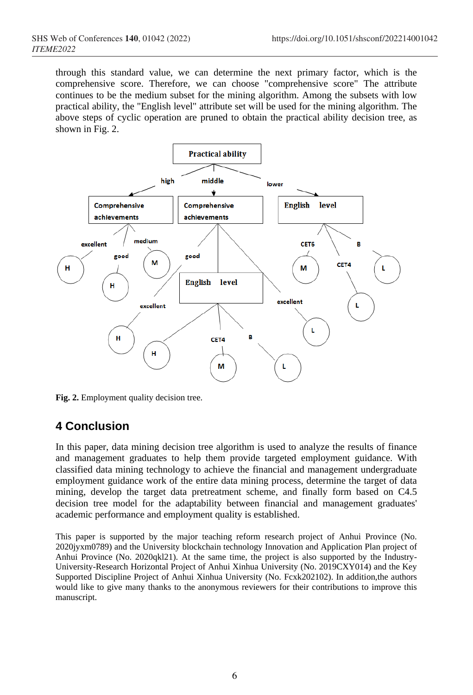through this standard value, we can determine the next primary factor, which is the comprehensive score. Therefore, we can choose "comprehensive score" The attribute continues to be the medium subset for the mining algorithm. Among the subsets with low practical ability, the "English level" attribute set will be used for the mining algorithm. The above steps of cyclic operation are pruned to obtain the practical ability decision tree, as shown in Fig. 2.



**Fig. 2.** Employment quality decision tree.

# **4 Conclusion**

In this paper, data mining decision tree algorithm is used to analyze the results of finance and management graduates to help them provide targeted employment guidance. With classified data mining technology to achieve the financial and management undergraduate employment guidance work of the entire data mining process, determine the target of data mining, develop the target data pretreatment scheme, and finally form based on C4.5 decision tree model for the adaptability between financial and management graduates' academic performance and employment quality is established.

This paper is supported by the major teaching reform research project of Anhui Province (No. 2020jyxm0789) and the University blockchain technology Innovation and Application Plan project of Anhui Province (No. 2020qkl21). At the same time, the project is also supported by the Industry-University-Research Horizontal Project of Anhui Xinhua University (No. 2019CXY014) and the Key Supported Discipline Project of Anhui Xinhua University (No. Fcxk202102). In addition,the authors would like to give many thanks to the anonymous reviewers for their contributions to improve this manuscript.